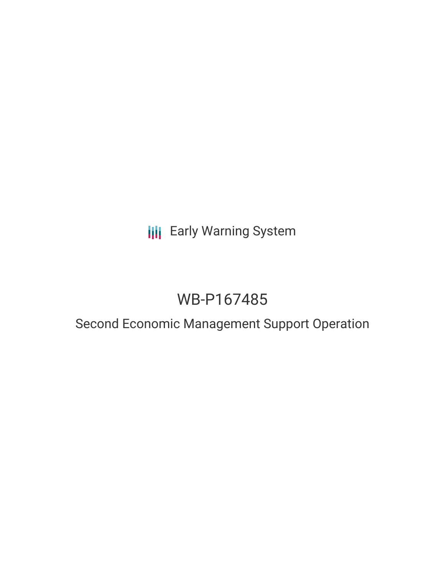**III** Early Warning System

# WB-P167485

# Second Economic Management Support Operation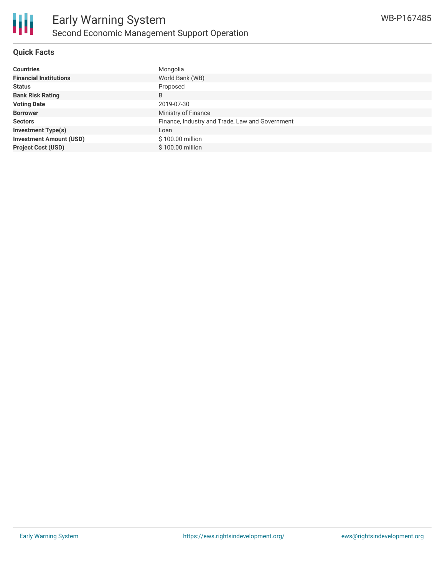

# **Quick Facts**

| <b>Countries</b>               | Mongolia                                        |
|--------------------------------|-------------------------------------------------|
| <b>Financial Institutions</b>  | World Bank (WB)                                 |
| <b>Status</b>                  | Proposed                                        |
| <b>Bank Risk Rating</b>        | B                                               |
| <b>Voting Date</b>             | 2019-07-30                                      |
| <b>Borrower</b>                | Ministry of Finance                             |
| <b>Sectors</b>                 | Finance, Industry and Trade, Law and Government |
| <b>Investment Type(s)</b>      | Loan                                            |
| <b>Investment Amount (USD)</b> | \$100.00 million                                |
| <b>Project Cost (USD)</b>      | \$100.00 million                                |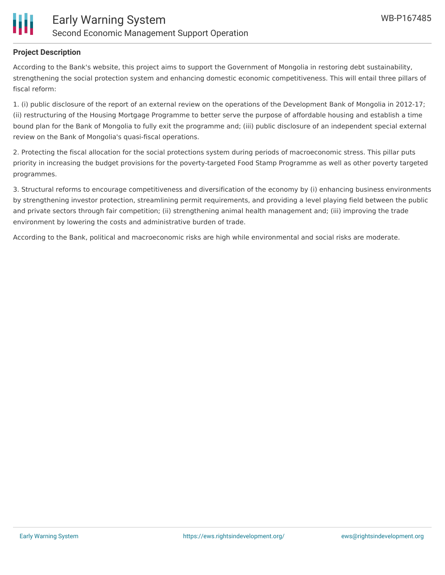

## **Project Description**

According to the Bank's website, this project aims to support the Government of Mongolia in restoring debt sustainability, strengthening the social protection system and enhancing domestic economic competitiveness. This will entail three pillars of fiscal reform:

1. (i) public disclosure of the report of an external review on the operations of the Development Bank of Mongolia in 2012-17; (ii) restructuring of the Housing Mortgage Programme to better serve the purpose of affordable housing and establish a time bound plan for the Bank of Mongolia to fully exit the programme and; (iii) public disclosure of an independent special external review on the Bank of Mongolia's quasi-fiscal operations.

2. Protecting the fiscal allocation for the social protections system during periods of macroeconomic stress. This pillar puts priority in increasing the budget provisions for the poverty-targeted Food Stamp Programme as well as other poverty targeted programmes.

3. Structural reforms to encourage competitiveness and diversification of the economy by (i) enhancing business environments by strengthening investor protection, streamlining permit requirements, and providing a level playing field between the public and private sectors through fair competition; (ii) strengthening animal health management and; (iii) improving the trade environment by lowering the costs and administrative burden of trade.

According to the Bank, political and macroeconomic risks are high while environmental and social risks are moderate.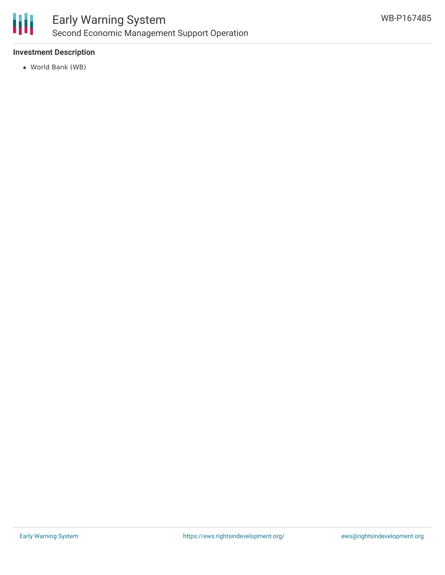

# **Investment Description**

World Bank (WB)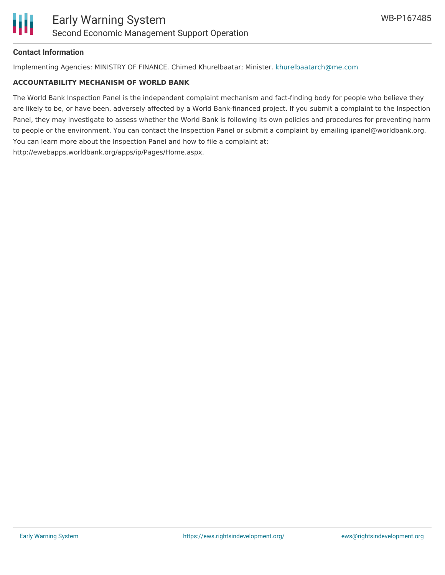

## **Contact Information**

Implementing Agencies: MINISTRY OF FINANCE. Chimed Khurelbaatar; Minister. [khurelbaatarch@me.com](mailto:khurelbaatarch@me.com)

#### **ACCOUNTABILITY MECHANISM OF WORLD BANK**

The World Bank Inspection Panel is the independent complaint mechanism and fact-finding body for people who believe they are likely to be, or have been, adversely affected by a World Bank-financed project. If you submit a complaint to the Inspection Panel, they may investigate to assess whether the World Bank is following its own policies and procedures for preventing harm to people or the environment. You can contact the Inspection Panel or submit a complaint by emailing ipanel@worldbank.org. You can learn more about the Inspection Panel and how to file a complaint at: http://ewebapps.worldbank.org/apps/ip/Pages/Home.aspx.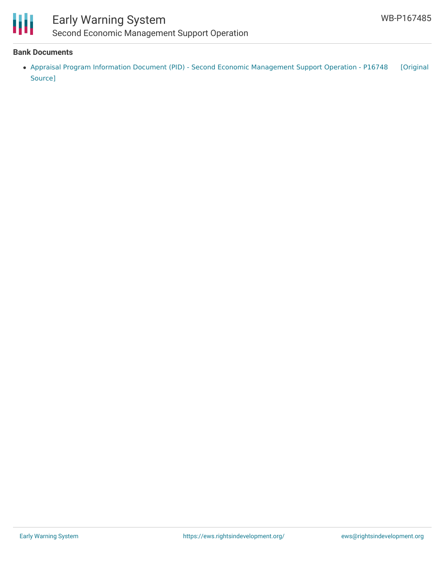

# Early Warning System Second Economic Management Support Operation

### **Bank Documents**

• Appraisal Program Information Document (PID) - Second Economic [Management](https://ewsdata.rightsindevelopment.org/files/documents/85/WB-P167485.pdf) Support Operation - P16748 [Original Source]